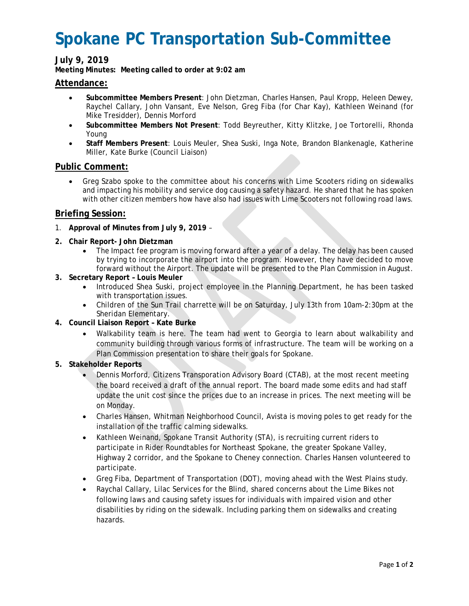# **Spokane PC Transportation Sub-Committee**

## **July 9, 2019**

**Meeting Minutes: Meeting called to order at 9:02 am**

### **Attendance:**

- **Subcommittee Members Present**: John Dietzman, Charles Hansen, Paul Kropp, Heleen Dewey, Raychel Callary, John Vansant, Eve Nelson, Greg Fiba (for Char Kay), Kathleen Weinand (for Mike Tresidder), Dennis Morford
- **Subcommittee Members Not Present**: Todd Beyreuther, Kitty Klitzke, Joe Tortorelli, Rhonda Young
- **Staff Members Present**: Louis Meuler, Shea Suski, Inga Note, Brandon Blankenagle, Katherine Miller, Kate Burke (Council Liaison)

### **Public Comment:**

• Greg Szabo spoke to the committee about his concerns with Lime Scooters riding on sidewalks and impacting his mobility and service dog causing a safety hazard. He shared that he has spoken with other citizen members how have also had issues with Lime Scooters not following road laws.

### **Briefing Session:**

- 1. **Approval of Minutes from July 9, 2019** –
- **2. Chair Report- John Dietzman**
	- The Impact fee program is moving forward after a year of a delay. The delay has been caused by trying to incorporate the airport into the program. However, they have decided to move forward without the Airport. The update will be presented to the Plan Commission in August.
- **3. Secretary Report – Louis Meuler**
	- Introduced Shea Suski, project employee in the Planning Department, he has been tasked with transportation issues.
	- Children of the Sun Trail charrette will be on Saturday, July 13th from 10am-2:30pm at the Sheridan Elementary.
- **4. Council Liaison Report – Kate Burke**
	- Walkability team is here. The team had went to Georgia to learn about walkability and community building through various forms of infrastructure. The team will be working on a Plan Commission presentation to share their goals for Spokane.
- **5. Stakeholder Reports**
	- Dennis Morford, Citizens Transporation Advisory Board (CTAB), at the most recent meeting the board received a draft of the annual report. The board made some edits and had staff update the unit cost since the prices due to an increase in prices. The next meeting will be on Monday.
	- Charles Hansen, Whitman Neighborhood Council, Avista is moving poles to get ready for the installation of the traffic calming sidewalks.
	- Kathleen Weinand, Spokane Transit Authority (STA), is recruiting current riders to participate in Rider Roundtables for Northeast Spokane, the greater Spokane Valley, Highway 2 corridor, and the Spokane to Cheney connection. Charles Hansen volunteered to participate.
	- Greg Fiba, Department of Transportation (DOT), moving ahead with the West Plains study.
	- Raychal Callary, Lilac Services for the Blind, shared concerns about the Lime Bikes not following laws and causing safety issues for individuals with impaired vision and other disabilities by riding on the sidewalk. Including parking them on sidewalks and creating hazards.